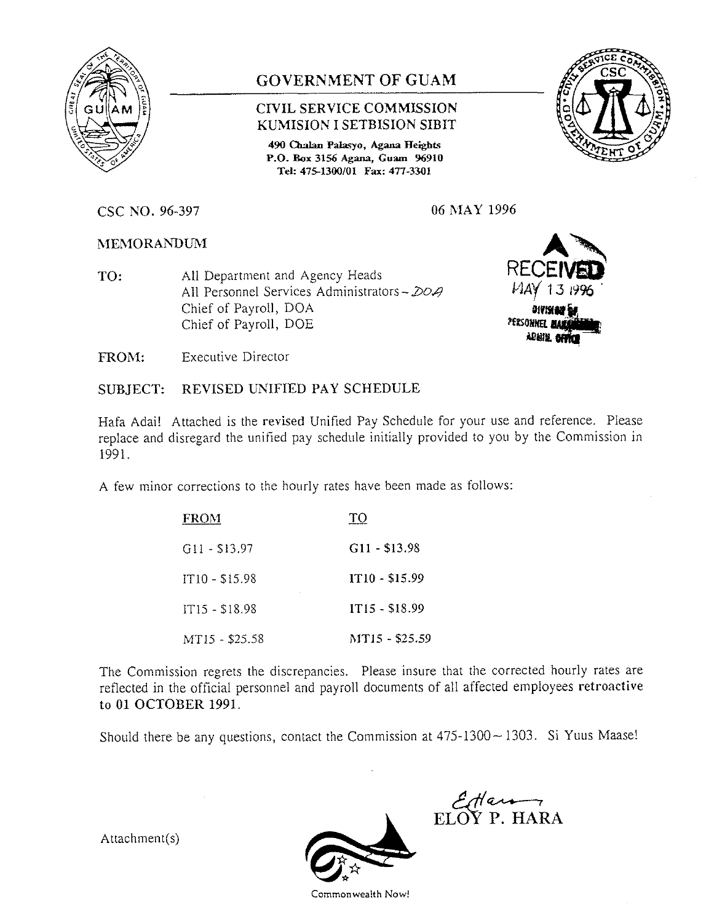

# **GOVERNMENT OF GUAM**

## **CIVIL SERVICE COMMISSION KUMISION I SETBISION SIBIT**

490 Chalan Palasyo, Agana Heights **P.O. Eox 3156 Agana, Guam 96910 Tel: 475-1300/01 Fax: 477-3301**



**CSC NO. 96-397 06 MAY 1996**

**MEMORANDUM**

**TO:** All Department and Agency Heads All Personnel Services Administrators -  $DOA$ Chief of Payroll, DOA Chief of Payroll, DOE

**REC** *MAY* 138 **UYISING<br>UARE MARITY**<br>Nation Millian

**FROM:** Executive Director

## **SUBJECT: REVISED UNIFIED PAY SCHEDULE**

**Hafa** Adai! Attached is the revised Unified Pay Schedule for your use and reference. Please replace and disregard the unified pay schedule initially provided to you by the Commission in 1991.

A few minor corrections to the hourly rates have been made as follows:

| <b>FROM</b>     | TО             |
|-----------------|----------------|
| $G11 - $13.97$  | $G11 - $13.98$ |
| $IT10 - 515.98$ | IT10 - \$15.99 |
| IT15 - \$18.98  | IT15 - \$18.99 |
| MT15 - \$25.58  | MT15 - \$25.59 |

The Commission regrets the discrepancies. Please insure that the corrected hourly rates are reflected in the official personnel and payroll documents of all affected employees retroactive to 01 OCTOBER 1991.

Should there be any questions, contact the Commission at  $475-1300-1303$ . Si Yuus Maase!

Attachment $(s)$ 



**ELO'? P. HARA**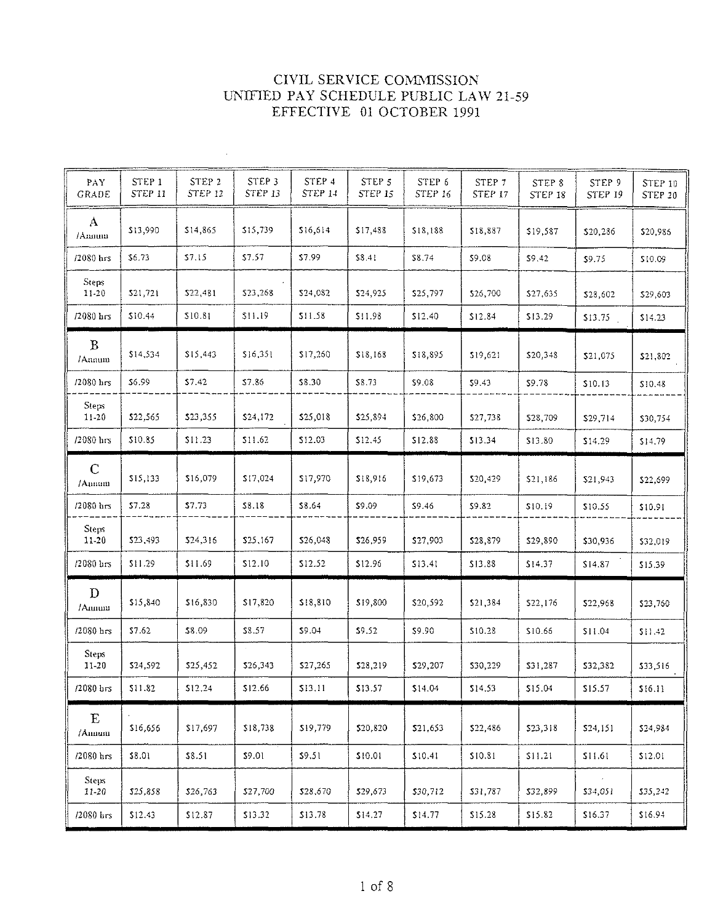| PAY<br><b>GRADE</b>    | STEP 1<br>STEP 11 | STEP <sub>2</sub><br>STEP 12 | STEP <sub>3</sub><br>STEP 13 | STEP 4<br><b>STEP 14</b> | STEP 5<br>STEP 15 | STEP 6<br><b>STEP 16</b> | STEP <sub>7</sub><br>STEP 17 | STEP 8<br>STEP 18 | STEP 9<br>STEP 19 | <b>STEP 10</b><br>STEP 20 |
|------------------------|-------------------|------------------------------|------------------------------|--------------------------|-------------------|--------------------------|------------------------------|-------------------|-------------------|---------------------------|
| $\mathbf{A}$<br>/Annum | \$13,990          | \$14,865                     | \$15,739                     | \$16,614                 | \$17,488          | \$18,188                 | \$18,887                     | \$19,587          | \$20,286          | \$20,986                  |
| /2080 hrs              | \$6.73            | \$7.15                       | \$7.57                       | \$7.99                   | \$8.41            | \$8.74                   | \$9.08                       | \$9.42            | \$9.75            | \$10.09                   |
| Steps<br>11-20         | \$21,721          | \$22,481                     | \$23,268                     | \$24,082                 | 524,925           | \$25,797                 | \$26,700                     | \$27,635          | \$28,602          | \$29,603                  |
| $/2080$ hrs            | \$10.44           | \$10.81                      | \$11.19                      | \$11.58                  | \$11.98           | \$12.40                  | \$12.84                      | \$13.29           | \$13.75           | \$14.23                   |
| $\mathbf{B}$<br>/Annum | \$14,534          | \$15,443                     | \$16,351                     | \$17,260                 | \$18,168          | \$18,895                 | \$19,621                     | \$20,348          | \$21,075          | \$21,802                  |
| /2080 hrs              | \$6.99            | \$7.42                       | \$7.86                       | \$8.30                   | \$8.73            | \$9.08                   | \$9.43                       | \$9.78            | \$10.13           | \$10.48                   |
| Steps<br>$11 - 20$     | \$22,565          | \$23,355                     | \$24,172                     | \$25,018                 | \$25,894          | \$26,800                 | \$27,738                     | \$28,709          | \$29,714          | \$30,754                  |
| /2080 hrs              | \$10.85           | \$11.23                      | \$11.62                      | \$12.03                  | \$12.45           | \$12.88                  | \$13.34                      | \$13.80           | \$14.29           | \$14.79                   |
| $\mathbf C$<br>/Amnum  | \$15,133          | \$16,079                     | \$17,024                     | \$17,970                 | \$18,916          | \$19,673                 | \$20,429                     | \$21,186          | \$21,943          | \$22,699                  |
| $/2080$ hrs            | \$7.28            | \$7.73                       | \$8.18                       | \$8.64                   | \$9.09            | \$9.46                   | \$9.82                       | \$10.19           | \$10.55           | \$10.91                   |
| Steps<br>11-20         | \$23,493          | \$24,316                     | \$25,167                     | \$26,048                 | \$26,959          | \$27,903                 | \$28,879                     | \$29,890          | \$30,936          | \$32,019                  |
| $/2080$ $\text{hrs}$   | \$11.29           | \$11.69                      | \$12.10                      | \$12.52                  | \$12.96           | \$13.41                  | \$13.88                      | \$14.37           | \$14.87           | \$15.39                   |
| $\mathbf{D}$<br>/Annum | \$15,840          | \$16,830                     | \$17,820                     | \$18,810                 | \$19,800          | \$20,592                 | \$21,384                     | \$22,176          | \$22,968          | \$23,760                  |
| /2080 hrs              | \$7.62            | \$8.09                       | \$8.57                       | \$9.04                   | \$9.52            | \$9.90                   | \$10.28                      | \$10.66           | \$11.04           | \$11.42                   |
| Steps<br>$11 - 20$     | \$24,592          | \$25,452                     | \$26,343                     | \$27,265                 | \$28,219          | \$29,207                 | \$30,229                     | \$31,287          | \$32,382          | \$33,516                  |
| $/2080$ $\text{hrs}$   | \$11.82           | \$12.24                      | \$12.66                      | \$13.11                  | \$13.57           | \$14.04                  | \$14.53                      | \$15.04           | \$15.57           | \$16.11                   |
| $\mathbf E$<br>/Ammun  | \$16,656          | \$17,697                     | \$18,738                     | \$19,779                 | \$20,820          | \$21.653                 | \$22,486                     | \$23,318          | \$24,151          | \$24.984                  |
| /2080 hrs              | \$8.01            | \$8.51                       | \$9.01                       | \$9.51                   | \$10.01           | \$10.41                  | \$10.81                      | \$11.21           | \$11.61           | \$12.01                   |
| Steps:<br>11-20        | \$25,858          | \$26,763                     | \$27,700                     | \$28,670                 | \$29,673          | \$30,712                 | \$31,787                     | \$32,899          | \$34,051          | \$35,242                  |
| /2080 hrs              | \$12.43           | \$12.87                      | \$13.32                      | \$13.78                  | \$14.27           | \$14.77                  | \$15.28                      | \$15.82           | \$16.37           | \$16.94                   |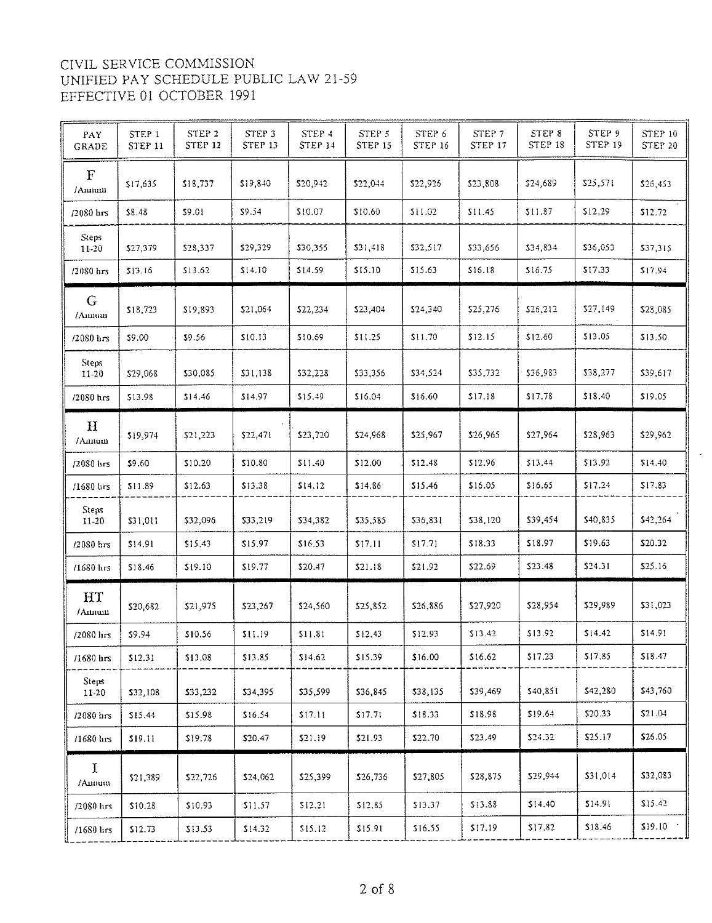| PAY<br>GRADE          | STEP 1<br><b>STEP 11</b> | STEP <sub>2</sub><br><b>STEP 12</b> | STEP 3<br>STEP 13 | STEP 4<br>STEP 14 | STEP 5<br>STEP 15 | STEP 6<br><b>STEP 16</b> | STEP <sub>7</sub><br>STEP 17 | STEP <sub>8</sub><br>STEP 18 | STEP 9<br><b>STEP 19</b> | STEP 10<br>STEP 20 |
|-----------------------|--------------------------|-------------------------------------|-------------------|-------------------|-------------------|--------------------------|------------------------------|------------------------------|--------------------------|--------------------|
| $\mathbf F$<br>/Annum | \$17,635                 | \$18,737                            | \$19,840          | \$20,942          | \$22,044          | 522,926                  | \$23,808                     | \$24,689                     | \$25,571                 | \$26,453           |
| /2080 hrs             | \$8.48                   | \$9.01                              | \$9.54            | \$10.07           | \$10.60           | 311.02                   | \$11.45                      | \$11.87                      | \$12.29                  | \$12.72            |
| Steps<br>11-20        | \$27,379                 | \$28,337                            | \$29,329          | \$30,355          | \$31,418          | \$32,517                 | \$33,656                     | \$34,834                     | \$36,053                 | \$37,315           |
| $/2080$ $\text{hrs}$  | \$13.16                  | \$13.62                             | \$14.10           | \$14.59           | \$15.10           | \$15.63                  | \$16.18                      | \$16.75                      | \$17.33                  | \$17.94            |
| G<br>/Annum           | \$18,723                 | \$19,893                            | \$21,064          | \$22,234          | \$23,404          | \$24,340                 | \$25,276                     | \$26,212                     | \$27,149                 | \$28,085           |
| /2080 hrs             | \$9.00                   | 39.56                               | \$10.13           | \$10.69           | \$11.25           | \$11.70                  | \$12.15                      | \$12.60                      | \$13.05                  | \$13.50            |
| Steps<br>11-20        | \$29,068                 | \$30,085                            | \$31,138          | \$32,228          | \$33,356          | \$34,524                 | \$35,732                     | \$36,983                     | \$38,277                 | \$39,617           |
| /2080 hrs             | \$13.98                  | \$14.46                             | \$14.97           | \$15.49           | \$16.04           | \$16.60                  | \$1718                       | \$17.78                      | \$18.40                  | \$19.05            |
| H<br>/Ammm            | \$19,974                 | \$21,223                            | \$22,471          | \$23,720          | \$24,968          | \$25,967                 | \$26.965                     | \$27,964                     | \$28,963                 | \$29,962           |
| $/2080$ brs           | \$9,60                   | \$10,20                             | \$10.80           | \$11.40           | \$12.00           | 512.48                   | \$12.96                      | \$13.44                      | \$13.92                  | \$14.40            |
| /1680 hrs             | \$11.89                  | \$12.63                             | \$13.38           | 514.12            | \$14.86           | \$15.46                  | \$16.05                      | \$16.65                      | \$17.24                  | 517.83             |
| Steps<br>11-20        | \$31,011                 | \$32,096                            | \$33,219          | \$34,382          | \$35,585          | \$36,831                 | \$38,120                     | \$39,454                     | \$40,835                 | \$42,264           |
| /2080 hrs             | \$14.91                  | \$15.43                             | \$15.97           | \$16.53           | \$17.11           | \$17.71                  | \$18.33                      | \$18.97                      | \$19.63                  | \$20.32            |
| /1680 hrs             | \$18.46                  | \$19.10                             | \$19.77           | \$20.47           | \$21.18           | \$21.92                  | \$22.69                      | \$23.48                      | \$24.31                  | \$25.16            |
| HT<br>/Annun          | \$20,682                 | \$21,975                            | \$23,267          | \$24,560          | \$25,852          | \$26,886                 | \$27.920                     | \$28,954                     | \$29,989                 | \$31,023           |
| /2080 hrs             | \$9.94                   | \$10.56                             | \$11.19           | \$11.81           | \$12.43           | \$12.93                  | \$13.42                      | \$13.92                      | 514.42                   | \$14.91            |
| $/1680$ hrs           | \$12.31                  | \$13.08                             | \$13.85           | \$14.62           | \$15.39           | \$16.00                  | \$16.62                      | \$17.23                      | \$17.85                  | \$18.47            |
| Steps<br>11-20        | \$32,108                 | \$33,232                            | \$34,395          | \$35,599          | \$36,845          | \$38,135                 | \$39,469                     | \$40,851                     | \$42,280                 | \$43,760           |
| /2080 hrs             | \$15.44                  | \$15.98                             | \$16.54           | \$17.11           | \$17.71           | \$18.33                  | \$18.98                      | \$19.64                      | \$20.33                  | \$21.04            |
| /1680 hrs             | \$19.11                  | \$19.78                             | \$20.47           | \$21.19           | \$21.93           | \$22.70                  | \$23.49                      | \$24.32                      | \$25.17                  | \$26.05            |
| $\mathbf I$<br>/Annum | \$21,389                 | \$22,726                            | \$24,062          | \$25,399          | \$26,736          | \$27,805                 | \$28,875                     | \$29,944                     | \$31,014                 | \$32,083           |
| /2080 hrs             | \$10.28                  | \$10.93                             | \$11.57           | \$12.21           | \$12.85           | \$13.37                  | \$13.88                      | \$14.40                      | \$14.91                  | \$15.42            |
| $/1680$ lirs          | \$12.73                  | \$13.53                             | \$14.32           | \$15.12           | \$15.91           | \$16.55                  | \$17.19                      | \$17.82                      | \$18.46                  | \$19.10            |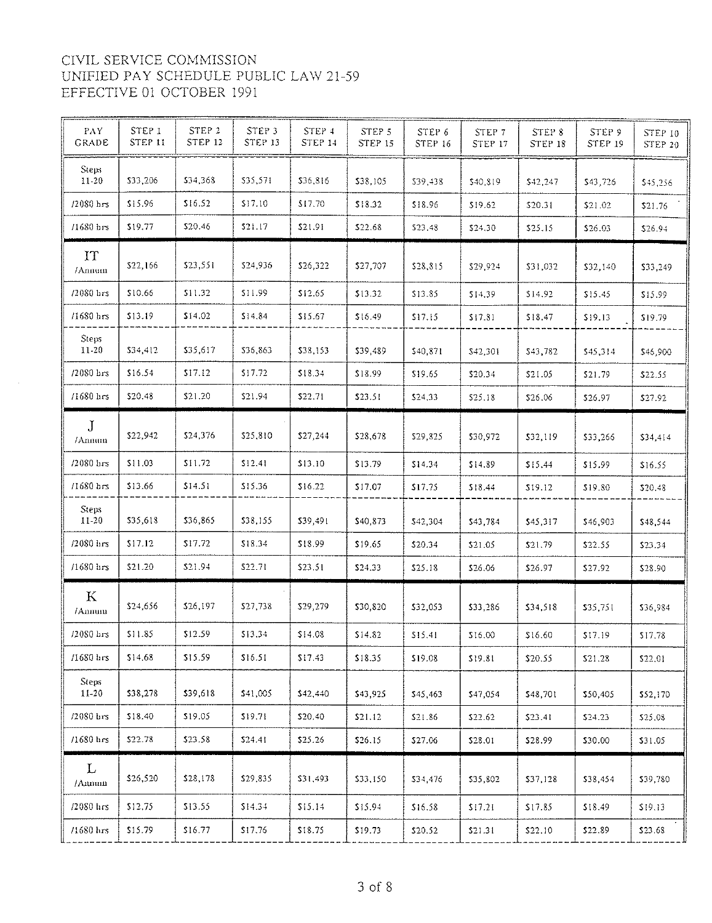| PAY<br>GRADE              | STEP 1<br><b>STEP 11</b> | STEP <sub>2</sub><br><b>STEP 12</b> | STEP <sub>3</sub><br>STEP 13 | STEP 4<br>STEP 14 | STEP 5<br>STEP 15 | STEP 6<br><b>STEP 16</b> | STEP 7<br><b>STEP 17</b> | STEP 8<br>STEP 18 | STEP 9<br>STEP 19 | STEP 10<br>STEP 20 |
|---------------------------|--------------------------|-------------------------------------|------------------------------|-------------------|-------------------|--------------------------|--------------------------|-------------------|-------------------|--------------------|
| Steps:<br>$11 - 20$       | \$33,206                 | \$34,368                            | \$35,571                     | \$36,816          | \$38,105          | \$39,438                 | \$40,819                 | \$42,247          | \$43,726          | \$45,256           |
| $/2080$ hrs               | \$15.96                  | \$16.52                             | \$17.10                      | \$17.70           | \$18.32           | \$18.96                  | \$19.62                  | \$20.31           | \$21.02           | \$21.76            |
| /1680 hrs                 | \$19.77                  | \$20.46                             | \$21.17                      | \$21.91           | \$22.68           | \$23.48                  | \$24.30                  | \$25.15           | \$26.03           | \$26.94            |
| IT<br>/Annum              | \$22,166                 | \$23,551                            | \$24,936                     | \$26,322          | \$27,707          | \$28,815                 | \$29,924                 | \$31,032          | \$32,140          | \$33,249           |
| $/2080$ hrs               | \$10.66                  | 511.32                              | \$11.99                      | \$12.65           | \$13.32           | \$13.85                  | \$14.39                  | \$14.92           | \$15.45           | \$15.99            |
| /1680 hrs                 | \$13.19                  | \$14.02                             | \$14.84                      | \$15.67           | \$16.49           | 517.15                   | \$17.81                  | \$18.47           | \$19.13           | \$19.79            |
| Steps<br>$11 - 20$        | \$34,412                 | \$35,617                            | \$36,863                     | \$38,153          | \$39,489          | \$40,871                 | \$42,301                 | \$43,782          | \$45,314          | \$46,900           |
| /2080 hrs                 | \$16.54                  | \$17.12                             | \$17.72                      | \$18.34           | \$18.99           | \$19.65                  | \$20.34                  | \$21.05           | \$21.79           | \$22.55            |
| $/1680$ lirs              | \$20.48                  | \$21,20                             | \$21.94                      | \$22.71           | \$23.51           | \$24,33                  | \$25.18                  | \$26.06           | \$26.97           | \$27.92            |
| $\mathbf{J}$<br>/Annum    | \$22,942                 | \$24,376                            | \$25,810                     | \$27,244          | \$28,678          | \$29,825                 | \$30.972                 | \$32,119          | \$33,266          | \$34,414           |
| $/2080$ hrs               | \$11.03                  | \$11.72                             | \$12.41                      | \$13.10           | \$13.79           | \$14.34                  | \$14.89                  | 515.44            | \$15.99           | \$16.55            |
| $/1680$ brs               | \$13.66                  | \$14.51                             | \$15.36                      | \$16.22           | \$17.07           | \$17,75                  | \$18.44                  | \$19.12           | \$19.80           | \$20.48            |
| <b>Steps</b><br>$11 - 20$ | \$35,618                 | \$36,865                            | \$38,155                     | \$39,491          | \$40,873          | \$42,304                 | \$43,784                 | \$45,317          | \$46,903          | \$48,544           |
| /2080 hrs                 | \$17.12                  | \$17.72                             | \$18.34                      | \$18.99           | \$19.65           | \$20.34                  | \$21.05                  | \$21.79           | \$22.55           | \$23.34            |
| $/1680$ lirs              | \$21.20                  | \$21.94                             | \$22.71                      | \$23.51           | \$24.33           | \$25.18                  | \$26.06                  | \$26.97           | \$27.92           | \$28.90            |
| K<br>/Annum               | \$24,656                 | \$26,197                            | \$27,738                     | \$29,279          | \$30,820          | \$32,053                 | \$33,286                 | \$34,518          | \$35,751          | \$36,984           |
| /2080 hrs                 | \$11.85                  | \$12.59                             | \$13.34                      | \$14.08           | \$14.82           | 515.41                   | \$16.00                  | \$16.60           | \$17.19           | \$17.78            |
| $/1680$ $\text{hrs}$      | \$14.68                  | \$15.59                             | \$16.51                      | \$17.43           | \$18.35           | \$19.08                  | \$19.81                  | \$20.55           | \$21.28           | \$22,01            |
| Steps<br>$11-20$          | \$38,278                 | \$39,618                            | \$41,005                     | \$42,440          | \$43,925          | \$45,463                 | \$47,054                 | \$48,701          | \$50,405          | \$52,170           |
| /2080 hrs                 | \$18.40                  | \$19.05                             | 519.71                       | \$20,40           | \$21.12           | \$21.86                  | \$22.62                  | \$23.41           | \$24.23           | \$25.08            |
| $/1680$ hrs               | \$22.78                  | 523.58                              | 524.41                       | \$25.26           | \$26.15           | \$27.06                  | \$28.01                  | \$28.99           | \$30.00           | \$31.05            |
| L<br>/Anmin               | \$26,520                 | \$28,178                            | \$29,835                     | \$31,493          | \$33,150          | \$34,476                 | \$35,802                 | \$37,128          | \$38,454          | \$39,780           |
| /2080 hrs                 | \$12.75                  | \$13.55                             | \$14.34                      | \$15.14           | \$15.94           | \$16.58                  | \$17.21                  | \$17.85           | \$18.49           | \$19.13            |
| /1680 hrs                 | \$15.79                  | \$16.77                             | \$17.76                      | \$18.75           | \$19.73           | \$20.52                  | \$21.31                  | \$22.10           | \$22.89           | \$23.68            |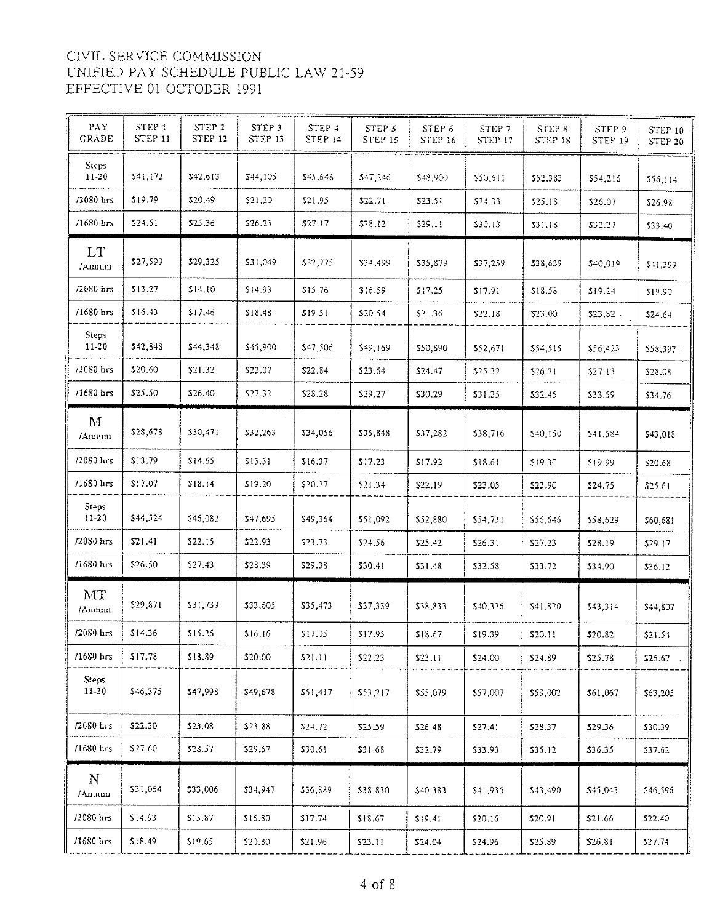| PAY.<br>GRADE           | STEP 1<br><b>STEP 11</b> | STEP 2<br>STEP 12 | STEP 3<br>STEP 13 | STEP 4<br><b>STEP 14</b> | STEP <sub>5</sub><br>STEP 15 | STEP 6<br><b>STEP 16</b> | STEP 7<br>STEP 17 | STEP 8<br>STEP 18 | STEP 9<br>STEP 19 | STEP 10<br>STEP 20 |
|-------------------------|--------------------------|-------------------|-------------------|--------------------------|------------------------------|--------------------------|-------------------|-------------------|-------------------|--------------------|
| Steps<br>$11 - 20$      | \$41,172                 | \$42,613          | \$44,105          | \$45,648                 | \$47,246                     | \$48,900                 | \$50,611          | \$52,383          | \$54,216          | \$56,114           |
| /2080 hrs               | \$19.79                  | \$20.49           | \$21,20           | \$21.95                  | \$22.71                      | \$23.51                  | \$24.33           | \$25.18           | \$26.07           | \$26.98            |
| /1680 brs               | \$24.51                  | \$25.36           | \$26.25           | \$27.17                  | \$28.12                      | \$29.11                  | \$30.13           | \$31.18           | \$32.27           | \$33.40            |
| LT.<br>/Annun           | \$27,599                 | \$29,325          | \$31,049          | \$32,775                 | \$34,499                     | \$35,879                 | \$37,259          | \$38.639          | \$40,019          | \$41,399           |
| /2080 hrs               | \$13.27                  | \$14.10           | \$14.93           | \$15.76                  | \$16.59                      | \$17.25                  | \$17.91           | \$18.58           | \$19.24           | \$19.90            |
| /1680 hrs               | \$16.43                  | \$17.46           | \$18.48           | \$19.51                  | \$20.54                      | \$21.36                  | \$22.18           | \$23.00           | \$23.82           | \$24.64            |
| <b>Steps</b><br>$11-20$ | \$42,848                 | \$44,348          | \$45,900          | \$47,506                 | \$49,169                     | \$50,890                 | \$52,671          | \$54,515          | \$56,423          | $$58.397$ .        |
| /2080 hrs               | \$20.60                  | \$21.32           | \$22.07           | \$22.84                  | \$23.64                      | \$24.47                  | \$25.32           | \$26.21           | \$27.13           | \$28.08            |
| $/1680$ hrs             | \$25.50                  | \$26.40           | \$27.32           | \$28.28                  | \$29.27                      | \$30.29                  | \$31.35           | \$32.45           | \$33.59           | \$34.76            |
| M<br>/Annum             | \$28,678                 | \$30,471          | \$32,263          | \$34,056                 | \$35,848                     | \$37,282                 | \$38,716          | \$40,150          | \$41,584          | \$43,018           |
| /2080 hrs               | \$13.79                  | \$14.65           | \$15.51           | \$16.37                  | \$17.23                      | \$17.92                  | \$18.61           | \$19.30           | \$19.99           | \$20.68            |
| $/1680$ hrs             | \$17.07                  | \$18.14           | \$19.20           | \$20.27                  | \$21.34                      | \$22.19                  | \$23.05           | \$23.90           | \$24.75           | \$25.61            |
| Steps:<br>$11-20$       | \$44,524                 | \$46,082          | \$47,695          | \$49,364                 | \$51,092                     | \$52,880                 | \$54,731          | \$56,646          | \$58,629          | \$60,681           |
| /2080 hrs               | \$21.41                  | \$22.15           | \$22.93           | \$23.73                  | \$24.56                      | \$25.42                  | \$26.31           | \$27.23           | \$28.19           | \$29.17            |
| $/1680$ hrs             | \$26.50                  | \$27.43           | \$28.39           | \$29.38                  | \$30.41                      | \$31.48                  | \$32.58           | \$33.72           | \$34.90           | \$36.12            |
| MT<br>/Amum             | \$29,871                 | \$31,739          | \$33,605          | \$35,473                 | \$37,339                     | \$38,833                 | \$40,326          | \$41,820          | \$43,314          | \$44,807           |
| /2080 hrs               | \$14.36                  | \$15.26           | \$16.16           | \$17.05                  | \$17.95                      | \$18.67                  | \$19.39           | \$20.11           | \$20.82           | \$21.54            |
| /1680 hrs               | \$17.78                  | \$18.89           | \$20.00           | \$21.11                  | \$22.23                      | \$23.11                  | \$24.00           | \$24.89           | \$25.78           | \$26.67            |
| Steps<br>11-20          | \$46,375                 | \$47,998          | \$49,678          | 551,417                  | \$53,217                     | \$55,079                 | \$57,007          | \$59,002          | \$61,067          | \$63,205           |
| /2080 hrs               | \$22.30                  | \$23.08           | \$23.88           | \$24.72                  | \$25.59                      | \$26.48                  | \$27.41           | \$28.37           | \$29.36           | \$30.39            |
| /1680 hrs               | \$27.60                  | \$28.57           | \$29.57           | \$30.61                  | \$31.68                      | \$32.79                  | \$33.93           | \$35.12           | \$36.35           | \$37.62            |
| N<br>/Annum             | \$31,064                 | \$33,006          | \$34,947          | \$36,889                 | \$38,830                     | \$40,383                 | \$41,936          | \$43,490          | \$45,043          | \$46,596           |
| /2080 hrs               | \$14.93                  | \$15.87           | \$16.80           | \$17.74                  | \$18.67                      | \$19.41                  | \$20.16           | \$20.91           | \$21.66           | \$22.40            |
| /1680 hrs               | \$18.49                  | \$19.65           | \$20.80           | \$21.96                  | \$23.11                      | \$24.04                  | \$24.96           | \$25.89           | \$26.81           | \$27.74            |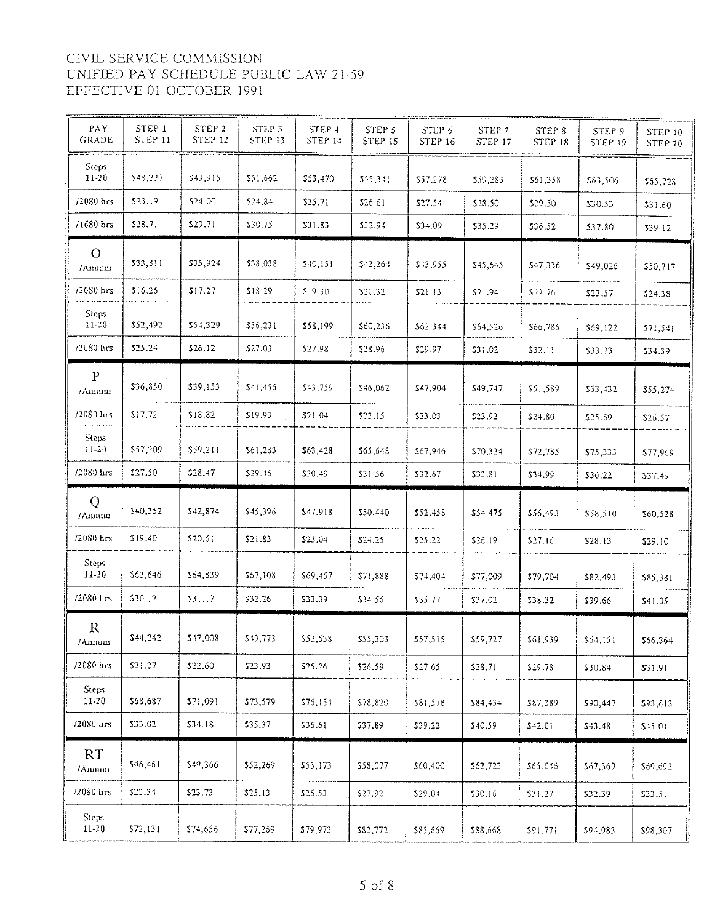| PAY                       |                          |                                     |                              |                          |                                     |                          |                   |                   |                   |                           |
|---------------------------|--------------------------|-------------------------------------|------------------------------|--------------------------|-------------------------------------|--------------------------|-------------------|-------------------|-------------------|---------------------------|
| <b>GRADE</b>              | STEP 1<br><b>STEP 11</b> | STEP <sub>2</sub><br><b>STEP 12</b> | STEP <sub>3</sub><br>STEP 13 | STEP 4<br><b>STEP 14</b> | STEP <sub>5</sub><br><b>STEP 15</b> | STEP 6<br><b>STEP 16</b> | STEP 7<br>STEP 17 | STEP 8<br>STEP 18 | STEP 9<br>STEP 19 | STEP 10<br><b>STEP 20</b> |
| <b>Steps</b><br>$11-20$   | \$48,227                 | \$49,915                            | \$51,662                     | \$53,470                 | \$55,341                            | \$57,278                 | \$59,283          | \$61,358          | \$63,506          | \$65.728                  |
| $/2080$ hrs               | \$23.19                  | \$24.00                             | \$24.84                      | \$25.71                  | \$26.61                             | \$27.54                  | \$28.50           | \$29.50           | \$30.53           | \$31.60                   |
| $/1680$ hrs               | \$28.71                  | \$29.71                             | \$30.75                      | \$31.83                  | 332.94                              | \$34.09                  | \$35.29           | \$36.52           | \$37.80           | \$39.12                   |
| $\mathcal{O}$<br>/Annum   | \$33,811                 | \$35,924                            | \$38,038                     | \$40,151                 | \$42,264                            | \$43,955                 | \$45,645          | \$47,336          | \$49,026          | \$50,717                  |
| /2080 hrs                 | \$16.26                  | \$17.27                             | \$18.29                      | \$19.30                  | \$20.32                             | 521.13                   | \$21.94           | \$22.76           | \$23.57           | \$24.38                   |
| Steps<br>$11 - 20$        | \$52,492                 | \$54,329                            | \$56,231                     | \$58,199                 | \$60,236                            | \$62,344                 | \$64,526          | \$66,785          | \$69,122          | \$71,541                  |
| $/2080$ $\text{hrs}$      | \$25,24                  | \$26.12                             | \$27.03                      | \$27.98                  | \$28.96                             | \$29.97                  | \$31.02           | \$32.11           | \$33.23           | \$34.39                   |
| $\mathbf{P}$<br>/Annum    | \$36,850                 | \$39,153                            | \$41,456                     | \$43,759                 | \$46,062                            | \$47,904                 | \$49,747          | \$51,589          | \$53,432          | \$55,274                  |
| /2080 hrs                 | \$17.72                  | \$18.82                             | \$19.93                      | \$21.04                  | \$22.15                             | \$23.03                  | \$23.92           | \$24.80           | \$25.69           | \$26.57                   |
| <b>Steps</b><br>$11 - 20$ | \$57,209                 | \$59,211                            | \$61,283                     | \$63,428                 | \$65,648                            | \$67,946                 | \$70,324          | \$72,785          | \$75,333          | \$77,969                  |
| /2080 hrs                 | \$27.50                  | \$28.47                             | \$29.46                      | \$30.49                  | \$31.56                             | \$32.67                  | \$33.81           | \$34.99           | \$36.22           | \$37.49                   |
|                           |                          |                                     |                              |                          |                                     |                          |                   |                   |                   |                           |
| Q<br>/Annum               | \$40,352                 | \$42,874                            | \$45,396                     | \$47,918                 | \$50,440                            | \$52,458                 | \$54,475          | \$56,493          | \$58,510          | \$60,528                  |
| $/2080$ hrs               | \$19.40                  | \$20.61                             | \$21.83                      | \$23.04                  | \$24.25                             | \$25.22                  | \$26.19           | \$27.16           | \$28.13           | \$29.10                   |
| <b>Steps</b><br>11-20     | \$62,646                 | \$64,839                            | \$67,108                     | \$69,457                 | \$71,888                            | \$74,404                 | \$77,009          | \$79,704          | \$82,493          | \$85,381                  |
| $12080$ hrs               | \$30.12                  | \$31.17                             | \$32.26                      | \$33.39                  | \$34.56                             | \$35.77                  | \$37.02           | \$38.32           | \$39.66           | \$41.05                   |
| $\mathbb{R}$<br>/Amum     | \$44,242                 | \$47,008                            | \$49,773                     | \$52,538                 | \$55,303                            | \$57,515                 | \$59,727          | \$61,939          | \$64,151          | \$66,364                  |
| $/2080$ hrs               | \$21.27                  | \$22.60                             | \$23.93                      | \$25.26                  | \$26.59                             | \$27.65                  | \$28.71           | \$29.78           | \$30.84           | \$31.91                   |
| Steps<br>$11 - 20$        | \$68,687                 | \$71,091                            | \$73,579                     | \$76,154                 | \$78,820                            | \$81,578                 | \$84,434          | \$87,389          | \$90,447          | \$93,613                  |
| $/2080$ lirs              | \$33.02                  | \$34.18                             | \$35.37                      | \$36.61                  | \$37.89                             | \$39.22                  | \$40.59           | \$42.01           | \$43,48           | \$45.01                   |
| RT<br>/Annum              | \$46,461                 | \$49,366                            | \$52,269                     | \$55,173                 | \$58,077                            | \$60,400                 | \$62,723          | \$65,046          | \$67,369          | \$69,692                  |
| $/2080$ hrs               | \$22.34                  | \$23.73                             | \$25.13                      | \$26.53                  | \$27.92                             | \$29.04                  | \$30.16           | \$31.27           | \$32.39           | \$33.51                   |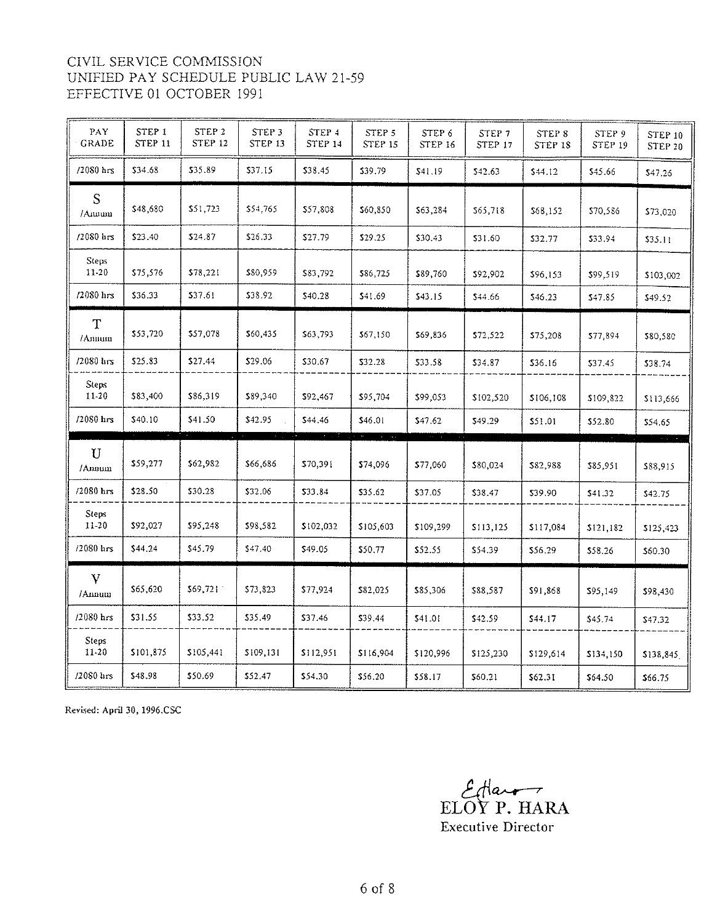| PAY<br><b>GRADE</b>     | STEP 1<br><b>STEP 11</b> | STEP 2<br>STEP 12 | STEP 3<br><b>STEP 13</b> | STEP 4<br><b>STEP 14</b> | STEP 5<br><b>STEP 15</b> | STEP 6<br><b>STEP 16</b> | STEP 7<br><b>STEP 17</b> | STEP <sub>8</sub><br><b>STEP 18</b> | STEP <sub>9</sub><br>STEP 19 | STEP 10<br>STEP 20 |
|-------------------------|--------------------------|-------------------|--------------------------|--------------------------|--------------------------|--------------------------|--------------------------|-------------------------------------|------------------------------|--------------------|
| $/2080$ hrs             | \$34.68                  | \$35.89           | \$37.15                  | \$38.45                  | \$39.79                  | \$41.19                  | \$42.63                  | \$44.12                             | \$45.66                      | \$47.26            |
| S<br>/Annum             | \$48,680                 | \$51,723          | \$54,765                 | \$57,808                 | \$60,850                 | \$63,284                 | \$65,718                 | \$68,152                            | \$70,586                     | \$73,020           |
| $/2080$ $\text{hrs}$    | \$23.40                  | \$24.87           | \$26.33                  | \$27.79                  | \$29.25                  | \$30.43                  | \$31.60                  | \$32.77                             | \$33.94                      | \$35.11            |
| Steps:<br>11-20         | \$75,576                 | \$78,221          | \$80,959                 | \$83,792                 | \$86,725                 | \$89,760                 | \$92,902                 | \$96,153                            | \$99,519                     | \$103,002          |
| /2080 hrs               | \$36.33                  | \$37.61           | \$38.92                  | \$40.28                  | 541.69                   | \$43.15                  | \$44.66                  | \$46.23                             | \$47.85                      | \$49.52            |
| T<br>/Amnum             | \$53,720                 | \$57,078          | \$60,435                 | \$63,793                 | \$67,150                 | \$69,836                 | \$72,522                 | \$75,208                            | \$77,894                     | \$80,580           |
| /2080 hrs               | \$25.83                  | \$27.44           | \$29.06                  | \$30.67                  | \$32.28                  | \$33.58                  | \$34.87                  | \$36.16                             | \$37.45                      | \$38.74            |
| <b>Steps</b><br>11-20   | \$83,400                 | \$86,319          | \$89,340                 | \$92,467                 | \$95,704                 | \$99,053                 | \$102,520                | \$106,108                           | \$109,822                    | \$113,666          |
| /2080 hrs               | \$40.10                  | \$41.50           | \$42.95                  | \$44.46                  | \$46.01                  | \$47.62                  | \$49,29                  | \$51.01                             | \$52.80                      | 5.4.65             |
| $\mathbf U$<br>/Annum   | \$59,277                 | \$62,982          | 566,686                  | \$70,391                 | \$74,096                 | \$77,060                 | \$80,024                 | \$82,988                            | \$85,951                     | \$88,915           |
| $/2080$ hrs             | \$28.50                  | \$30.28           | \$32.06                  | \$33.84                  | \$35.62                  | \$37.05                  | \$38.47                  | \$39.90                             | \$41.32                      | \$42.75            |
| Steps:<br>11-20         | \$92,027                 | \$95,248          | \$98,582                 | \$102,032                | \$105,603                | \$109,299                | \$113,125                | \$117,084                           | 5121,182                     | \$125,423          |
| /2080 hrs               | \$44.24                  | \$45.79           | \$47.40                  | \$49.05                  | \$50.77                  | \$52.55                  | \$54.39                  | \$56.29                             | \$58.26                      | \$60.30            |
| V<br>/Amnum             | \$65,620                 | \$69,721          | \$73,823                 | \$77,924                 | \$82,025                 | \$85,306                 | \$88,587                 | \$91,868                            | \$95,149                     | \$98,430           |
| /2080 hrs               | \$31.55                  | \$33.52           | \$35.49                  | \$37.46                  | \$39.44                  | \$41.01                  | \$42.59                  | \$44.17                             | \$45.74                      | \$47.32            |
| <b>Steps</b><br>$11-20$ | \$101,875                | \$105,441         | \$109,131                | \$112,951                | \$116,904                | \$120,996                | \$125,230                | \$129,614                           | \$134,150                    | \$138,845          |
| $/2080$ lirs            | \$48.98                  | \$50.69           | \$52.47                  | \$54.30                  | \$56.20                  | \$58.17                  | \$60.21                  | \$62.31                             | \$64.50                      | \$66.75            |

Revised: April 30, 1996.CSC

ElOY P. HARA Executive Director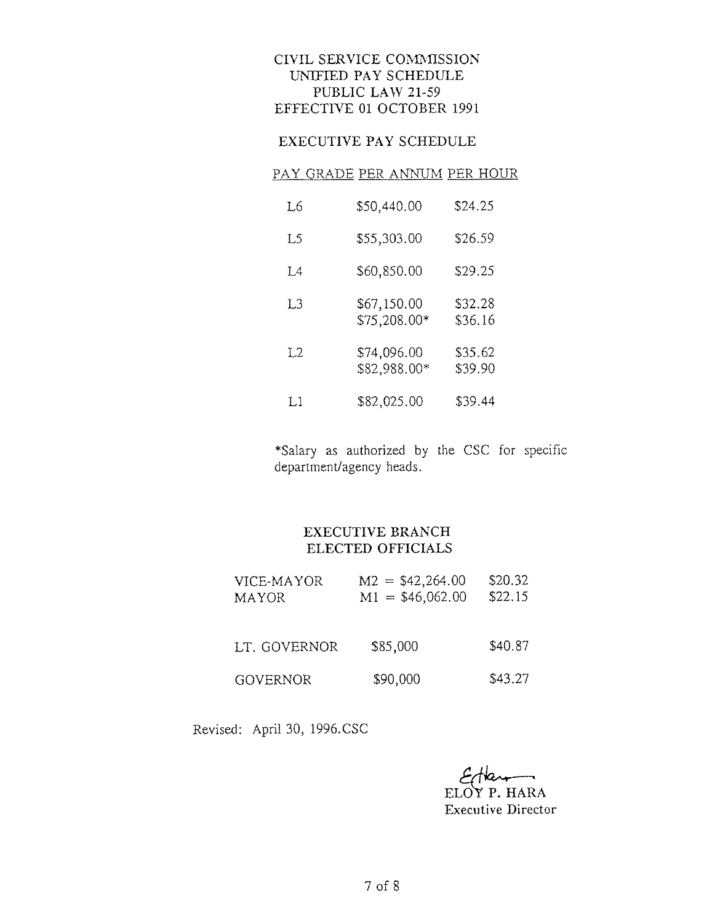## EXECUTIVE PAY SCHEDULE

#### PAY GRADE PER ANNUM PER HOUR

| Lб  | \$50,440.00                 | \$24.25            |
|-----|-----------------------------|--------------------|
| L5  | \$55,303.00                 | \$26.59            |
| T 4 | \$60,850.00                 | \$29.25            |
| LЗ  | \$67,150.00<br>\$75,208.00* | \$32.28<br>\$36.16 |
| Ι2  | \$74,096.00<br>\$82,988.00* | \$35.62<br>\$39.90 |
| I.1 | \$82,025.00                 | \$39.44            |

\*Salary as authorized by the CSC for specific department/agency heads.

#### EXECUTIVE BRANCH ELECTED OFFICIALS

| VICE-MAYOR<br><b>MAYOR</b> | $M2 = $42,264.00$<br>$M1 = $46,062.00$ | \$20.32<br>\$22,15 |
|----------------------------|----------------------------------------|--------------------|
| LT. GOVERNOR               | \$85,000                               | \$40.87            |
| <b>GOVERNOR</b>            | \$90,000                               | \$43,27            |

Revised: April 30, 1996.CSC

 $E$ tan

Executive Director